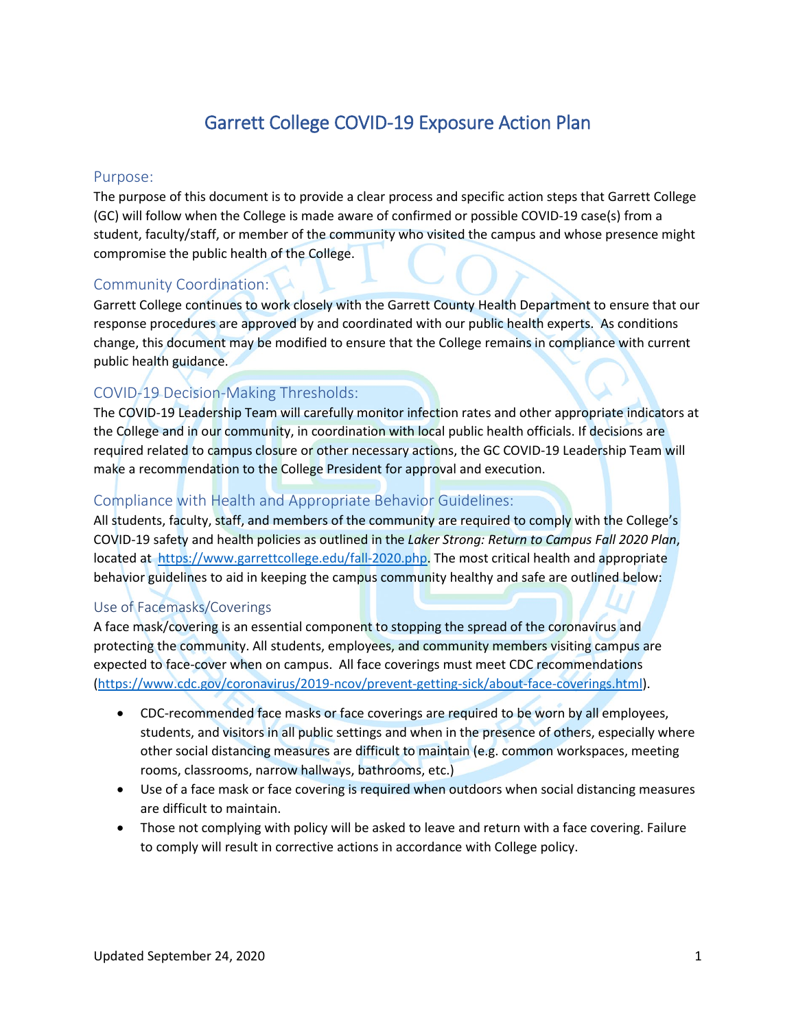# Garrett College COVID-19 Exposure Action Plan

## Purpose:

The purpose of this document is to provide a clear process and specific action steps that Garrett College (GC) will follow when the College is made aware of confirmed or possible COVID-19 case(s) from a student, faculty/staff, or member of the community who visited the campus and whose presence might compromise the public health of the College.

## Community Coordination:

Garrett College continues to work closely with the Garrett County Health Department to ensure that our response procedures are approved by and coordinated with our public health experts. As conditions change, this document may be modified to ensure that the College remains in compliance with current public health guidance.

## COVID-19 Decision-Making Thresholds:

The COVID-19 Leadership Team will carefully monitor infection rates and other appropriate indicators at the College and in our community, in coordination with local public health officials. If decisions are required related to campus closure or other necessary actions, the GC COVID-19 Leadership Team will make a recommendation to the College President for approval and execution.

## Compliance with Health and Appropriate Behavior Guidelines:

All students, faculty, staff, and members of the community are required to comply with the College's COVID-19 safety and health policies as outlined in the *Laker Strong: Return to Campus Fall 2020 Plan*, located at [https://www.garrettcollege.edu/fall-2020.php.](https://www.garrettcollege.edu/fall-2020.php) The most critical health and appropriate behavior guidelines to aid in keeping the campus community healthy and safe are outlined below:

## Use of Facemasks/Coverings

A face mask/covering is an essential component to stopping the spread of the coronavirus and protecting the community. All students, employees, and community members visiting campus are expected to face-cover when on campus. All face coverings must meet CDC recommendations [\(https://www.cdc.gov/coronavirus/2019-ncov/prevent-getting-sick/about-face-coverings.html\)](https://www.cdc.gov/coronavirus/2019-ncov/prevent-getting-sick/about-face-coverings.html).

- CDC-recommended face masks or face coverings are required to be worn by all employees, students, and visitors in all public settings and when in the presence of others, especially where other social distancing measures are difficult to maintain (e.g. common workspaces, meeting rooms, classrooms, narrow hallways, bathrooms, etc.)
- Use of a face mask or face covering is required when outdoors when social distancing measures are difficult to maintain.
- Those not complying with policy will be asked to leave and return with a face covering. Failure to comply will result in corrective actions in accordance with College policy.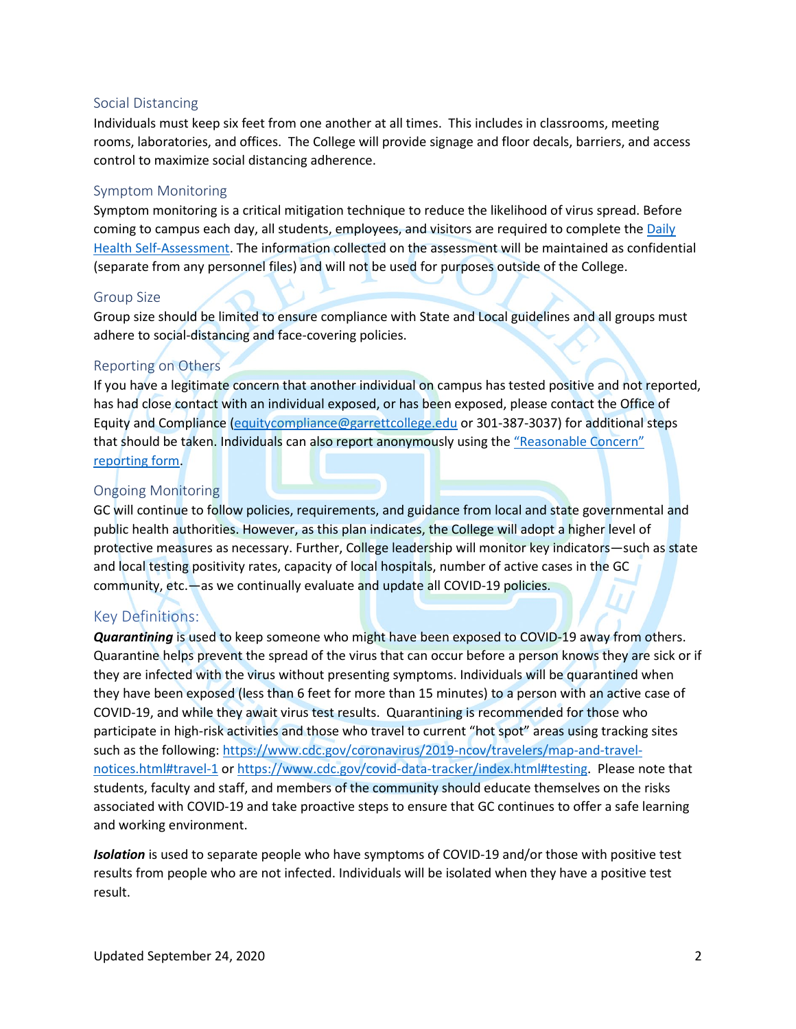#### Social Distancing

Individuals must keep six feet from one another at all times. This includes in classrooms, meeting rooms, laboratories, and offices. The College will provide signage and floor decals, barriers, and access control to maximize social distancing adherence.

#### Symptom Monitoring

Symptom monitoring is a critical mitigation technique to reduce the likelihood of virus spread. Before coming to campus each day, all students, employees, and visitors are required to complete the Daily [Health Self-Assessment.](https://www.garrettcollege.edu/daily-health) The information collected on the assessment will be maintained as confidential (separate from any personnel files) and will not be used for purposes outside of the College.

#### Group Size

Group size should be limited to ensure compliance with State and Local guidelines and all groups must adhere to social-distancing and face-covering policies.

#### Reporting on Others

If you have a legitimate concern that another individual on campus has tested positive and not reported, has had close contact with an individual exposed, or has been exposed, please contact the Office of Equity and Compliance [\(equitycompliance@garrettcollege.edu](mailto:equitycompliance@garrettcollege.edu) or 301-387-3037) for additional steps that should be taken. Individuals can also report anonymously using the "Reasonable Concern" [reporting form.](https://www.garrettcollege.edu/form-reasonable-concern.php)

#### Ongoing Monitoring

GC will continue to follow policies, requirements, and guidance from local and state governmental and public health authorities. However, as this plan indicates, the College will adopt a higher level of protective measures as necessary. Further, College leadership will monitor key indicators—such as state and local testing positivity rates, capacity of local hospitals, number of active cases in the GC community, etc.—as we continually evaluate and update all COVID-19 policies.

## Key Definitions:

*Quarantining* is used to keep someone who might have been exposed to COVID-19 away from others. Quarantine helps prevent the spread of the virus that can occur before a person knows they are sick or if they are infected with the virus without presenting symptoms. Individuals will be quarantined when they have been exposed (less than 6 feet for more than 15 minutes) to a person with an active case of COVID-19, and while they await virus test results. Quarantining is recommended for those who participate in high-risk activities and those who travel to current "hot spot" areas using tracking sites such as the following: [https://www.cdc.gov/coronavirus/2019-ncov/travelers/map-and-travel](https://www.cdc.gov/coronavirus/2019-ncov/travelers/map-and-travel-notices.html#travel-1)[notices.html#travel-1](https://www.cdc.gov/coronavirus/2019-ncov/travelers/map-and-travel-notices.html#travel-1) o[r https://www.cdc.gov/covid-data-tracker/index.html#testing.](https://www.cdc.gov/covid-data-tracker/index.html#testing) Please note that students, faculty and staff, and members of the community should educate themselves on the risks associated with COVID-19 and take proactive steps to ensure that GC continues to offer a safe learning and working environment.

*Isolation* is used to separate people who have symptoms of COVID-19 and/or those with positive test results from people who are not infected. Individuals will be isolated when they have a positive test result.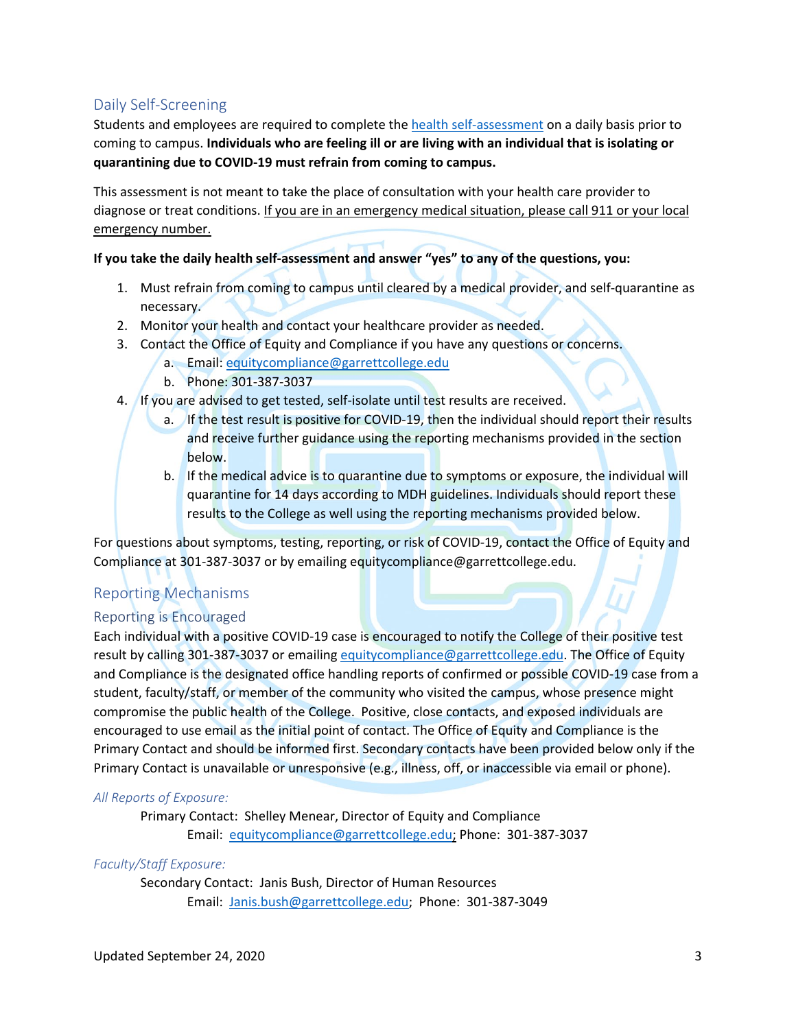## Daily Self-Screening

Students and employees are required to complete th[e health self-assessment](https://www.garrettcollege.edu/daily-health) on a daily basis prior to coming to campus. **Individuals who are feeling ill or are living with an individual that is isolating or quarantining due to COVID-19 must refrain from coming to campus.**

This assessment is not meant to take the place of consultation with your health care provider to diagnose or treat conditions. If you are in an emergency medical situation, please call 911 or your local emergency number.

#### **If you take the daily health self-assessment and answer "yes" to any of the questions, you:**

- 1. Must refrain from coming to campus until cleared by a medical provider, and self-quarantine as necessary.
- 2. Monitor your health and contact your healthcare provider as needed.
- 3. Contact the Office of Equity and Compliance if you have any questions or concerns.
	- a. Email: [equitycompliance@garrettcollege.edu](mailto:equitycompliance@garrettcollege.edu)
	- b. Phone: 301-387-3037
- 4. If you are advised to get tested, self-isolate until test results are received.
	- a. If the test result is positive for COVID-19, then the individual should report their results and receive further guidance using the reporting mechanisms provided in the section below.
	- b. If the medical advice is to quarantine due to symptoms or exposure, the individual will quarantine for 14 days according to MDH guidelines. Individuals should report these results to the College as well using the reporting mechanisms provided below.

For questions about symptoms, testing, reporting, or risk of COVID-19, contact the Office of Equity and Compliance at 301-387-3037 or by emailing equitycompliance@garrettcollege.edu.

## <span id="page-2-0"></span>Reporting Mechanisms

## Reporting is Encouraged

Each individual with a positive COVID-19 case is encouraged to notify the College of their positive test result by calling 301-387-3037 or emailing [equitycompliance@garrettcollege.edu.](mailto:equitycompliance@garrettcollege.edu) The Office of Equity and Compliance is the designated office handling reports of confirmed or possible COVID-19 case from a student, faculty/staff, or member of the community who visited the campus, whose presence might compromise the public health of the College. Positive, close contacts, and exposed individuals are encouraged to use email as the initial point of contact. The Office of Equity and Compliance is the Primary Contact and should be informed first. Secondary contacts have been provided below only if the Primary Contact is unavailable or unresponsive (e.g., illness, off, or inaccessible via email or phone).

#### *All Reports of Exposure:*

Primary Contact: Shelley Menear, Director of Equity and Compliance Email: [equitycompliance@garrettcollege.edu;](mailto:equitycompliance@garrettcollege.edu) Phone: 301-387-3037

## *Faculty/Staff Exposure:*

Secondary Contact: Janis Bush, Director of Human Resources Email: [Janis.bush@garrettcollege.edu;](mailto:Janis.bush@garrettcollege.edu) Phone: 301-387-3049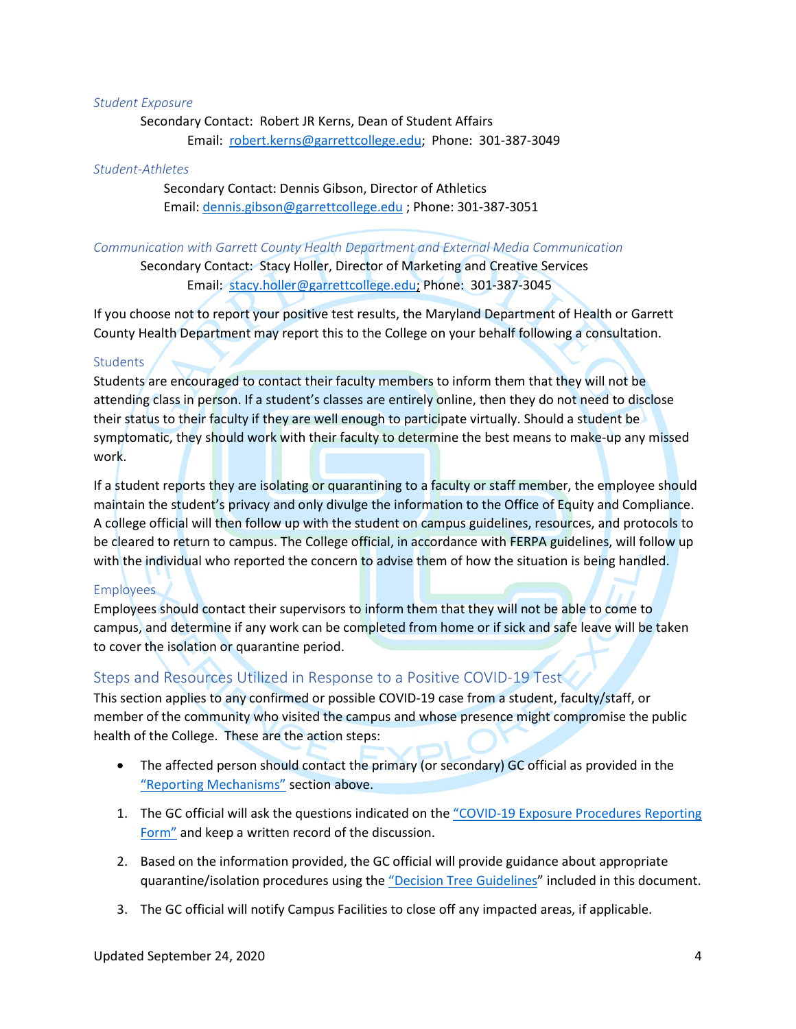#### *Student Exposure*

Secondary Contact: Robert JR Kerns, Dean of Student Affairs Email: [robert.kerns@garrettcollege.edu;](mailto:robert.kerns@garrettcollege.edu) Phone: 301-387-3049

#### *Student-Athletes*

Secondary Contact: Dennis Gibson, Director of Athletics Email: [dennis.gibson@garrettcollege.edu](mailto:dennis.gibson@garrettcollege.edu) ; Phone: 301-387-3051

#### *Communication with Garrett County Health Department and External Media Communication*

Secondary Contact: Stacy Holler, Director of Marketing and Creative Services Email: [stacy.holler@garrettcollege.edu;](mailto:stacy.holler@garrettcollege.edu) Phone: 301-387-3045

If you choose not to report your positive test results, the Maryland Department of Health or Garrett County Health Department may report this to the College on your behalf following a consultation.

#### **Students**

Students are encouraged to contact their faculty members to inform them that they will not be attending class in person. If a student's classes are entirely online, then they do not need to disclose their status to their faculty if they are well enough to participate virtually. Should a student be symptomatic, they should work with their faculty to determine the best means to make-up any missed work.

If a student reports they are isolating or quarantining to a faculty or staff member, the employee should maintain the student's privacy and only divulge the information to the Office of Equity and Compliance. A college official will then follow up with the student on campus guidelines, resources, and protocols to be cleared to return to campus. The College official, in accordance with FERPA guidelines, will follow up with the individual who reported the concern to advise them of how the situation is being handled.

#### **Employees**

Employees should contact their supervisors to inform them that they will not be able to come to campus, and determine if any work can be completed from home or if sick and safe leave will be taken to cover the isolation or quarantine period.

#### Steps and Resources Utilized in Response to a Positive COVID-19 Test

This section applies to any confirmed or possible COVID-19 case from a student, faculty/staff, or member of the community who visited the campus and whose presence might compromise the public health of the College. These are the action steps:

- The affected person should contact the primary (or secondary) GC official as provided in the ["Reporting Mechanisms"](#page-2-0) section above.
- 1. The GC official will ask the questions indicated on the "COVID-19 Exposure Procedures Reporting [Form"](#page-10-0) and keep a written record of the discussion.
- 2. Based on the information provided, the GC official will provide guidance about appropriate quarantine/isolation procedures using the ["Decision Tree](#page-4-0) Guidelines" included in this document.
- 3. The GC official will notify Campus Facilities to close off any impacted areas, if applicable.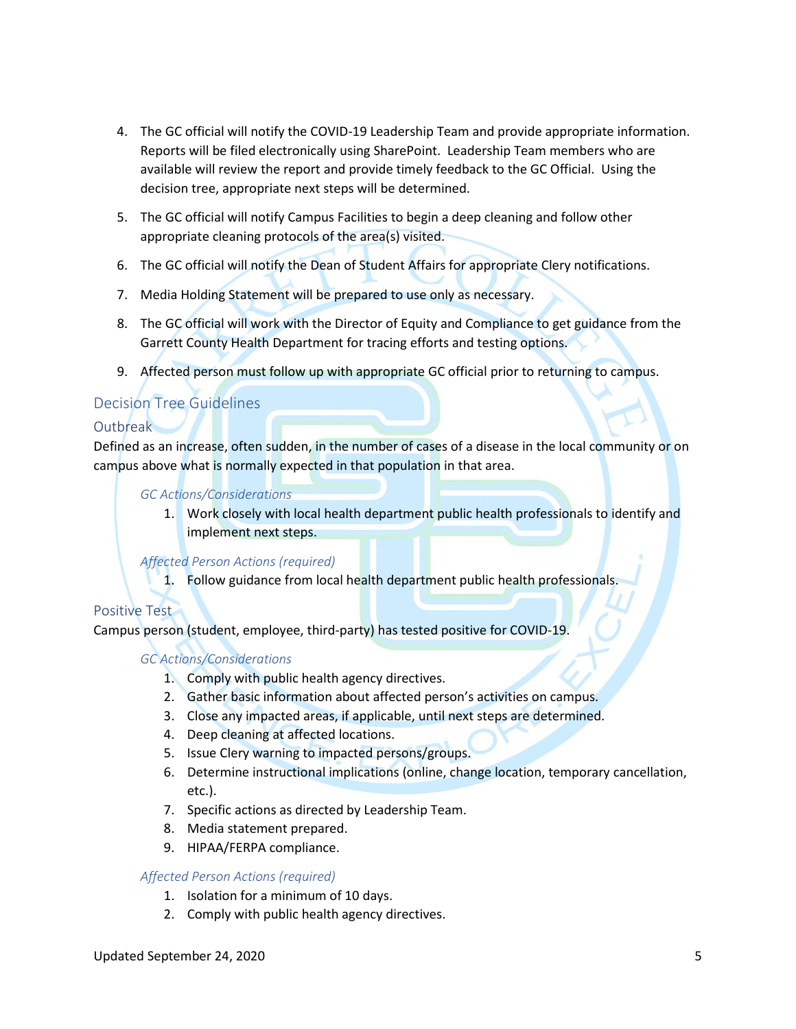- 4. The GC official will notify the COVID-19 Leadership Team and provide appropriate information. Reports will be filed electronically using SharePoint. Leadership Team members who are available will review the report and provide timely feedback to the GC Official. Using the decision tree, appropriate next steps will be determined.
- 5. The GC official will notify Campus Facilities to begin a deep cleaning and follow other appropriate cleaning protocols of the area(s) visited.
- 6. The GC official will notify the Dean of Student Affairs for appropriate Clery notifications.
- 7. Media Holding Statement will be prepared to use only as necessary.
- 8. The GC official will work with the Director of Equity and Compliance to get guidance from the Garrett County Health Department for tracing efforts and testing options.
- 9. Affected person must follow up with appropriate GC official prior to returning to campus.

## <span id="page-4-0"></span>Decision Tree Guidelines

## **Outbreak**

Defined as an increase, often sudden, in the number of cases of a disease in the local community or on campus above what is normally expected in that population in that area.

*GC Actions/Considerations*

1. Work closely with local health department public health professionals to identify and implement next steps.

*Affected Person Actions (required)*

1. Follow guidance from local health department public health professionals.

## Positive Test

Campus person (student, employee, third-party) has tested positive for COVID-19.

## *GC Actions/Considerations*

- 1. Comply with public health agency directives.
- 2. Gather basic information about affected person's activities on campus.
- 3. Close any impacted areas, if applicable, until next steps are determined.
- 4. Deep cleaning at affected locations.
- 5. Issue Clery warning to impacted persons/groups.
- 6. Determine instructional implications (online, change location, temporary cancellation, etc.).
- 7. Specific actions as directed by Leadership Team.
- 8. Media statement prepared.
- 9. HIPAA/FERPA compliance.

#### *Affected Person Actions (required)*

- 1. Isolation for a minimum of 10 days.
- 2. Comply with public health agency directives.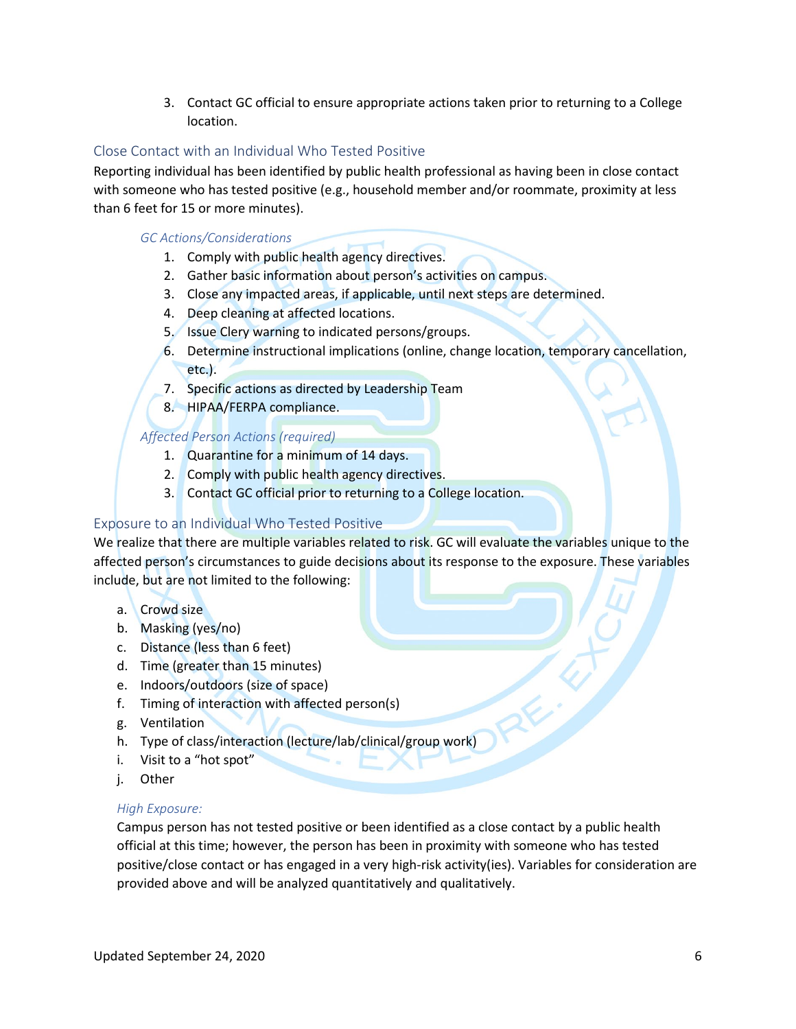3. Contact GC official to ensure appropriate actions taken prior to returning to a College location.

## Close Contact with an Individual Who Tested Positive

Reporting individual has been identified by public health professional as having been in close contact with someone who has tested positive (e.g., household member and/or roommate, proximity at less than 6 feet for 15 or more minutes).

#### *GC Actions/Considerations*

- 1. Comply with public health agency directives.
- 2. Gather basic information about person's activities on campus.
- 3. Close any impacted areas, if applicable, until next steps are determined.
- 4. Deep cleaning at affected locations.
- 5. Issue Clery warning to indicated persons/groups.
- 6. Determine instructional implications (online, change location, temporary cancellation, etc.).
- 7. Specific actions as directed by Leadership Team
- 8. HIPAA/FERPA compliance.

#### *Affected Person Actions (required)*

- 1. Quarantine for a minimum of 14 days.
- 2. Comply with public health agency directives.
- 3. Contact GC official prior to returning to a College location.

## Exposure to an Individual Who Tested Positive

We realize that there are multiple variables related to risk. GC will evaluate the variables unique to the affected person's circumstances to guide decisions about its response to the exposure. These variables include, but are not limited to the following:

- a. Crowd size
- b. Masking (yes/no)
- c. Distance (less than 6 feet)
- d. Time (greater than 15 minutes)
- e. Indoors/outdoors (size of space)
- f. Timing of interaction with affected person(s)
- g. Ventilation
- h. Type of class/interaction (lecture/lab/clinical/group work)
- i. Visit to a "hot spot"
- j. Other

#### *High Exposure:*

Campus person has not tested positive or been identified as a close contact by a public health official at this time; however, the person has been in proximity with someone who has tested positive/close contact or has engaged in a very high-risk activity(ies). Variables for consideration are provided above and will be analyzed quantitatively and qualitatively.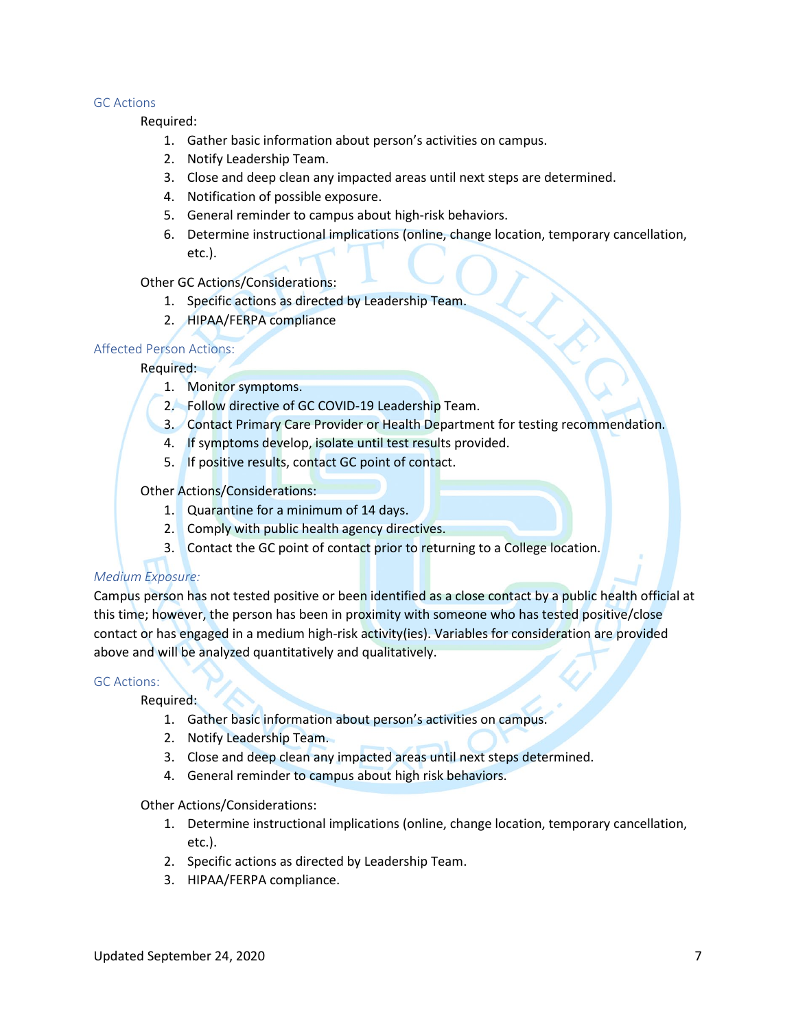#### GC Actions

Required:

- 1. Gather basic information about person's activities on campus.
- 2. Notify Leadership Team.
- 3. Close and deep clean any impacted areas until next steps are determined.
- 4. Notification of possible exposure.
- 5. General reminder to campus about high-risk behaviors.
- 6. Determine instructional implications (online, change location, temporary cancellation, etc.).

#### Other GC Actions/Considerations:

- 1. Specific actions as directed by Leadership Team.
- 2. HIPAA/FERPA compliance

#### Affected Person Actions:

#### Required:

- 1. Monitor symptoms.
- 2. Follow directive of GC COVID-19 Leadership Team.
- 3. Contact Primary Care Provider or Health Department for testing recommendation.
- 4. If symptoms develop, isolate until test results provided.
- 5. If positive results, contact GC point of contact.

#### Other Actions/Considerations:

- 1. Quarantine for a minimum of 14 days.
- 2. Comply with public health agency directives.
- 3. Contact the GC point of contact prior to returning to a College location.

#### *Medium Exposure:*

Campus person has not tested positive or been identified as a close contact by a public health official at this time; however, the person has been in proximity with someone who has tested positive/close contact or has engaged in a medium high-risk activity(ies). Variables for consideration are provided above and will be analyzed quantitatively and qualitatively.

#### GC Actions:

Required:

- 1. Gather basic information about person's activities on campus.
- 2. Notify Leadership Team.
- 3. Close and deep clean any impacted areas until next steps determined.
- 4. General reminder to campus about high risk behaviors.

Other Actions/Considerations:

- 1. Determine instructional implications (online, change location, temporary cancellation, etc.).
- 2. Specific actions as directed by Leadership Team.
- 3. HIPAA/FERPA compliance.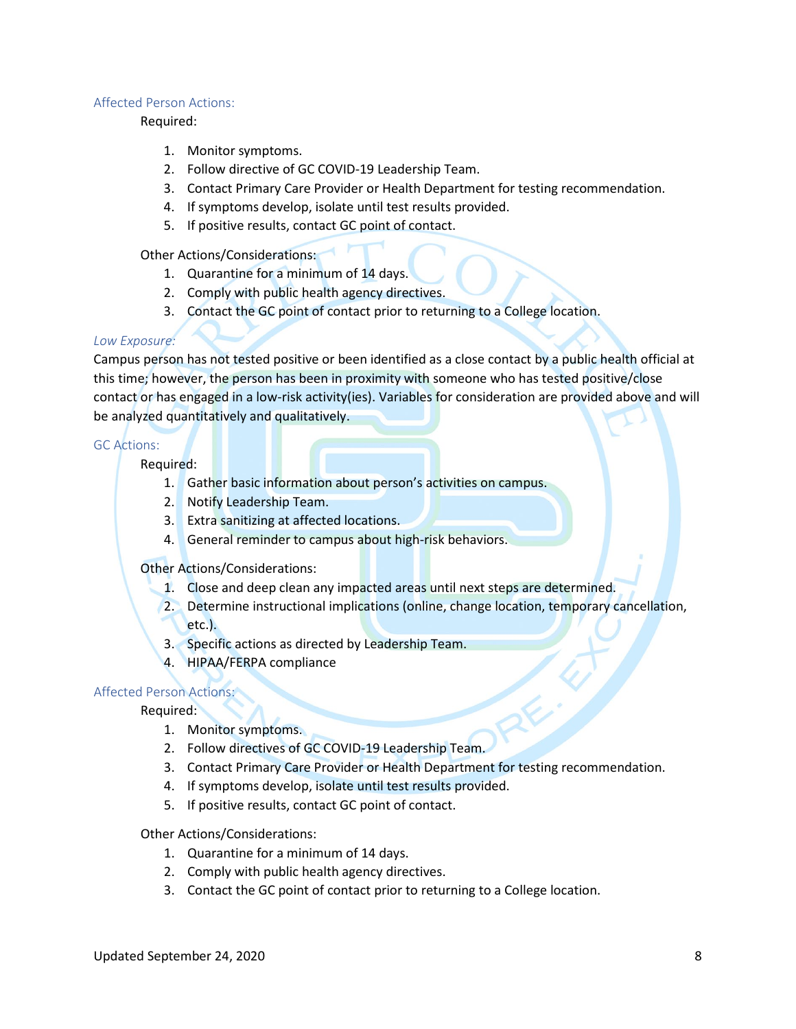#### Affected Person Actions:

#### Required:

- 1. Monitor symptoms.
- 2. Follow directive of GC COVID-19 Leadership Team.
- 3. Contact Primary Care Provider or Health Department for testing recommendation.
- 4. If symptoms develop, isolate until test results provided.
- 5. If positive results, contact GC point of contact.

#### Other Actions/Considerations:

- 1. Quarantine for a minimum of 14 days.
- 2. Comply with public health agency directives.
- 3. Contact the GC point of contact prior to returning to a College location.

#### *Low Exposure:*

Campus person has not tested positive or been identified as a close contact by a public health official at this time; however, the person has been in proximity with someone who has tested positive/close contact or has engaged in a low-risk activity(ies). Variables for consideration are provided above and will be analyzed quantitatively and qualitatively.

#### GC Actions:

Required:

- 1. Gather basic information about person's activities on campus.
- 2. Notify Leadership Team.
- 3. Extra sanitizing at affected locations.
- 4. General reminder to campus about high-risk behaviors.

#### Other Actions/Considerations:

- 1. Close and deep clean any impacted areas until next steps are determined.
- 2. Determine instructional implications (online, change location, temporary cancellation, etc.).
- 3. Specific actions as directed by Leadership Team.
- 4. HIPAA/FERPA compliance

#### Affected Person Actions:

Required:

- 1. Monitor symptoms.
- 2. Follow directives of GC COVID-19 Leadership Team.
- 3. Contact Primary Care Provider or Health Department for testing recommendation.
- 4. If symptoms develop, isolate until test results provided.
- 5. If positive results, contact GC point of contact.

#### Other Actions/Considerations:

- 1. Quarantine for a minimum of 14 days.
- 2. Comply with public health agency directives.
- 3. Contact the GC point of contact prior to returning to a College location.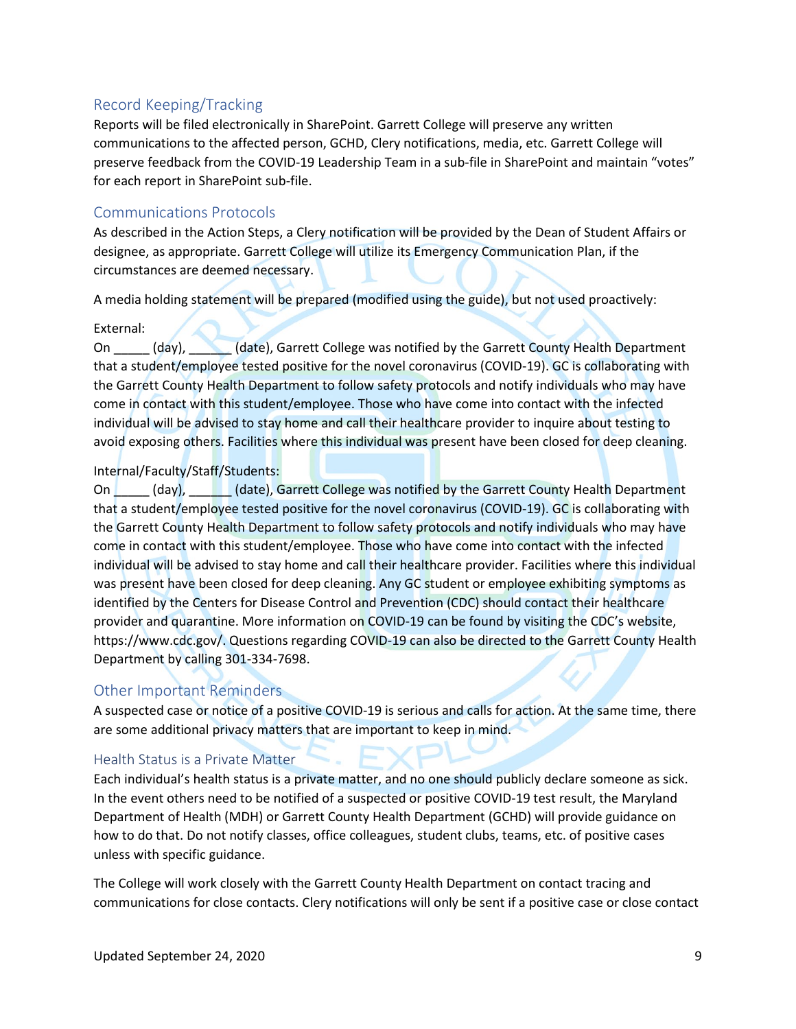## Record Keeping/Tracking

Reports will be filed electronically in SharePoint. Garrett College will preserve any written communications to the affected person, GCHD, Clery notifications, media, etc. Garrett College will preserve feedback from the COVID-19 Leadership Team in a sub-file in SharePoint and maintain "votes" for each report in SharePoint sub-file.

### Communications Protocols

As described in the Action Steps, a Clery notification will be provided by the Dean of Student Affairs or designee, as appropriate. Garrett College will utilize its Emergency Communication Plan, if the circumstances are deemed necessary.

A media holding statement will be prepared (modified using the guide), but not used proactively:

#### External:

On (day), (date), Garrett College was notified by the Garrett County Health Department that a student/employee tested positive for the novel coronavirus (COVID-19). GC is collaborating with the Garrett County Health Department to follow safety protocols and notify individuals who may have come in contact with this student/employee. Those who have come into contact with the infected individual will be advised to stay home and call their healthcare provider to inquire about testing to avoid exposing others. Facilities where this individual was present have been closed for deep cleaning.

#### Internal/Faculty/Staff/Students:

On (day), (date), Garrett College was notified by the Garrett County Health Department that a student/employee tested positive for the novel coronavirus (COVID-19). GC is collaborating with the Garrett County Health Department to follow safety protocols and notify individuals who may have come in contact with this student/employee. Those who have come into contact with the infected individual will be advised to stay home and call their healthcare provider. Facilities where this individual was present have been closed for deep cleaning. Any GC student or employee exhibiting symptoms as identified by the Centers for Disease Control and Prevention (CDC) should contact their healthcare provider and quarantine. More information on COVID-19 can be found by visiting the CDC's website, https://www.cdc.gov/. Questions regarding COVID-19 can also be directed to the Garrett County Health Department by calling 301-334-7698.

## Other Important Reminders

A suspected case or notice of a positive COVID-19 is serious and calls for action. At the same time, there are some additional privacy matters that are important to keep in mind.

#### Health Status is a Private Matter

Each individual's health status is a private matter, and no one should publicly declare someone as sick. In the event others need to be notified of a suspected or positive COVID-19 test result, the Maryland Department of Health (MDH) or Garrett County Health Department (GCHD) will provide guidance on how to do that. Do not notify classes, office colleagues, student clubs, teams, etc. of positive cases unless with specific guidance.

The College will work closely with the Garrett County Health Department on contact tracing and communications for close contacts. Clery notifications will only be sent if a positive case or close contact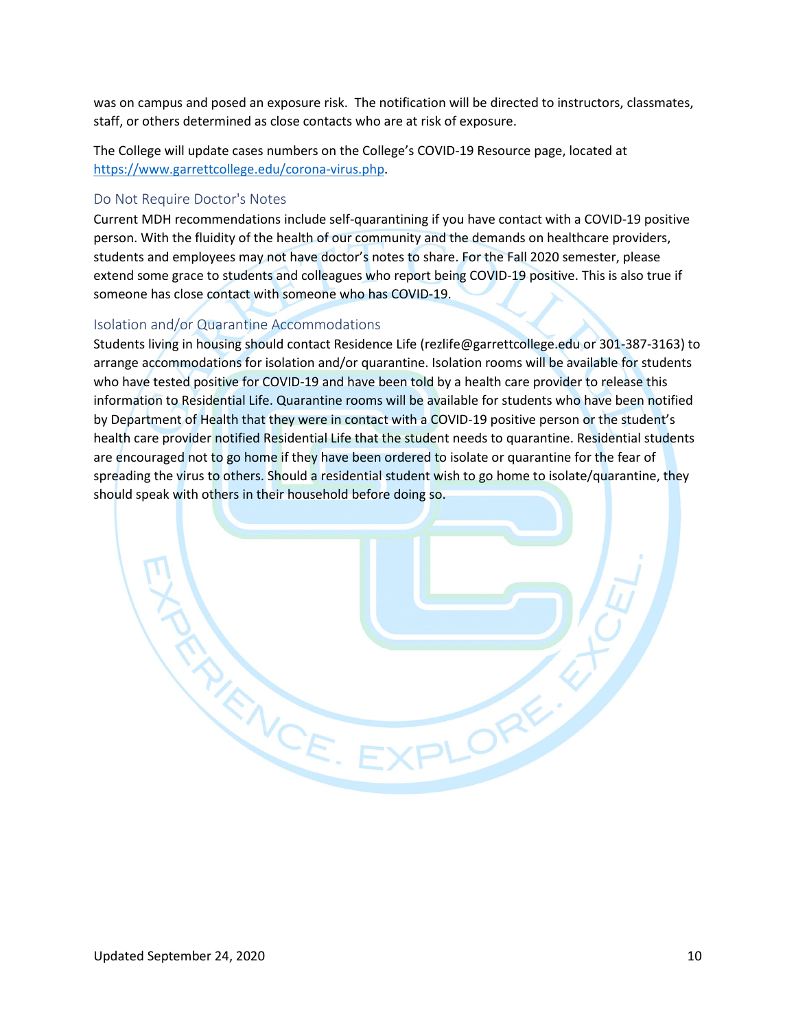was on campus and posed an exposure risk. The notification will be directed to instructors, classmates, staff, or others determined as close contacts who are at risk of exposure.

The College will update cases numbers on the College's COVID-19 Resource page, located at [https://www.garrettcollege.edu/corona-virus.php.](https://www.garrettcollege.edu/corona-virus.php)

#### Do Not Require Doctor's Notes

Current MDH recommendations include self-quarantining if you have contact with a COVID-19 positive person. With the fluidity of the health of our community and the demands on healthcare providers, students and employees may not have doctor's notes to share. For the Fall 2020 semester, please extend some grace to students and colleagues who report being COVID-19 positive. This is also true if someone has close contact with someone who has COVID-19.

#### Isolation and/or Quarantine Accommodations

RANCE.E

Students living in housing should contact Residence Life (rezlife@garrettcollege.edu or 301-387-3163) to arrange accommodations for isolation and/or quarantine. Isolation rooms will be available for students who have tested positive for COVID-19 and have been told by a health care provider to release this information to Residential Life. Quarantine rooms will be available for students who have been notified by Department of Health that they were in contact with a COVID-19 positive person or the student's health care provider notified Residential Life that the student needs to quarantine. Residential students are encouraged not to go home if they have been ordered to isolate or quarantine for the fear of spreading the virus to others. Should a residential student wish to go home to isolate/quarantine, they should speak with others in their household before doing so.

ORE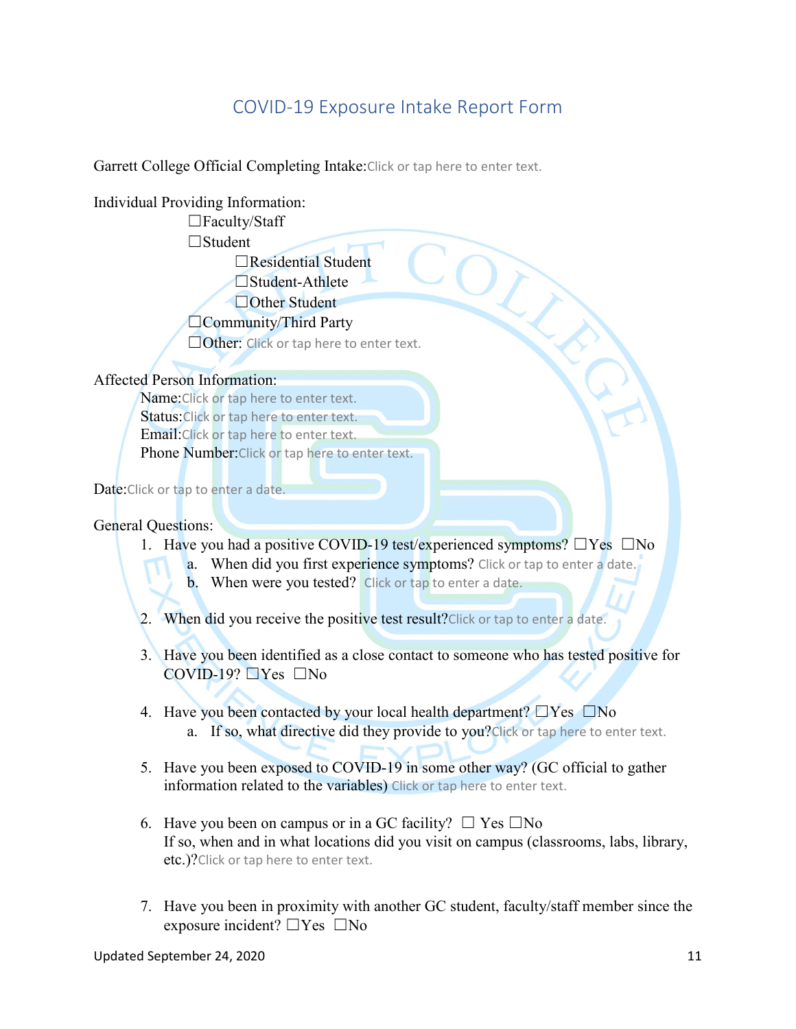# COVID-19 Exposure Intake Report Form

<span id="page-10-0"></span>Garrett College Official Completing Intake: Click or tap here to enter text.

## Individual Providing Information:

☐Faculty/Staff ☐Student ☐Residential Student  $\Box$ Student-Athlete □Other Student □Community/Third Party □Faculty/su:<br>□Student<br>□Student-Athlete<br>□Other Student<br>□Community/Third Party<br>□Other: Click or tap here to enter text.

## Affected Person Information:

Name:Click or tap here to enter text. Status: Click or tap here to enter text. Email:Click or tap here to enter text. Phone Number:Click or tap here to enter text.

Date: Click or tap to enter a date.

## General Questions:

- 1. Have you had a positive COVID-19 test/experienced symptoms?  $\square$  Yes  $\square$  No
	- a. When did you first experience symptoms? Click or tap to enter a date.
	- b. When were you tested? Click or tap to enter a date.

2. When did you receive the positive test result?Click or tap to enter a date.

- 3. Have you been identified as a close contact to someone who has tested positive for  $COVID-19?$   $\neg$  Yes  $\neg$  No
- 4. Have you been contacted by your local health department?  $\Box$  Yes  $\Box$  No a. If so, what directive did they provide to you?Click or tap here to enter text.
- 5. Have you been exposed to COVID-19 in some other way? (GC official to gather information related to the variables) Click or tap here to enter text.
- 6. Have you been on campus or in a GC facility?  $\Box$  Yes  $\Box$  No If so, when and in what locations did you visit on campus (classrooms, labs, library, etc.)? Click or tap here to enter text.
- 7. Have you been in proximity with another GC student, faculty/staff member since the exposure incident?  $\Box$  Yes  $\Box$  No